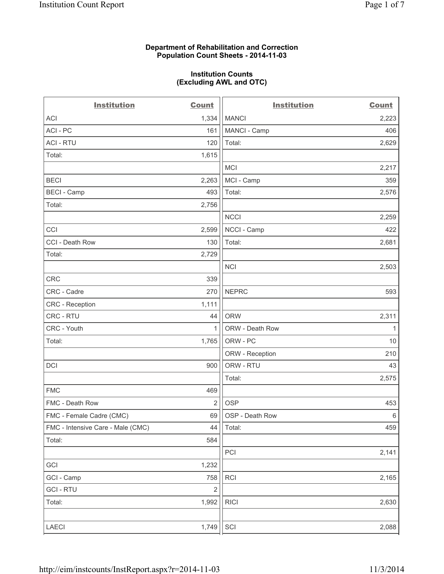#### **Department of Rehabilitation and Correction Population Count Sheets - 2014-11-03**

#### **Institution Counts (Excluding AWL and OTC)**

| <b>Institution</b>                | <b>Count</b>   | <b>Institution</b> | <b>Count</b> |
|-----------------------------------|----------------|--------------------|--------------|
| <b>ACI</b>                        | 1,334          | <b>MANCI</b>       | 2,223        |
| ACI - PC                          | 161            | MANCI - Camp       | 406          |
| <b>ACI - RTU</b>                  | 120            | Total:             | 2,629        |
| Total:                            | 1,615          |                    |              |
|                                   |                | <b>MCI</b>         | 2,217        |
| <b>BECI</b>                       | 2,263          | MCI - Camp         | 359          |
| <b>BECI - Camp</b>                | 493            | Total:             | 2,576        |
| Total:                            | 2,756          |                    |              |
|                                   |                | <b>NCCI</b>        | 2,259        |
| CCI                               | 2,599          | NCCI - Camp        | 422          |
| CCI - Death Row                   | 130            | Total:             | 2,681        |
| Total:                            | 2,729          |                    |              |
|                                   |                | <b>NCI</b>         | 2,503        |
| CRC                               | 339            |                    |              |
| CRC - Cadre                       | 270            | <b>NEPRC</b>       | 593          |
| <b>CRC</b> - Reception            | 1,111          |                    |              |
| CRC - RTU                         | 44             | <b>ORW</b>         | 2,311        |
| CRC - Youth                       | 1              | ORW - Death Row    | 1            |
| Total:                            | 1,765          | ORW - PC           | 10           |
|                                   |                | ORW - Reception    | 210          |
| DCI                               | 900            | ORW - RTU          | 43           |
|                                   |                | Total:             | 2,575        |
| <b>FMC</b>                        | 469            |                    |              |
| FMC - Death Row                   | $\overline{2}$ | <b>OSP</b>         | 453          |
| FMC - Female Cadre (CMC)          | 69             | OSP - Death Row    | $\,6\,$      |
| FMC - Intensive Care - Male (CMC) | 44             | Total:             | 459          |
| Total:                            | 584            |                    |              |
|                                   |                | PCI                | 2,141        |
| GCI                               | 1,232          |                    |              |
| GCI - Camp                        | 758            | RCI                | 2,165        |
| <b>GCI - RTU</b>                  | $\overline{c}$ |                    |              |
| Total:                            | 1,992          | <b>RICI</b>        | 2,630        |
| LAECI                             | 1,749          | SCI                | 2,088        |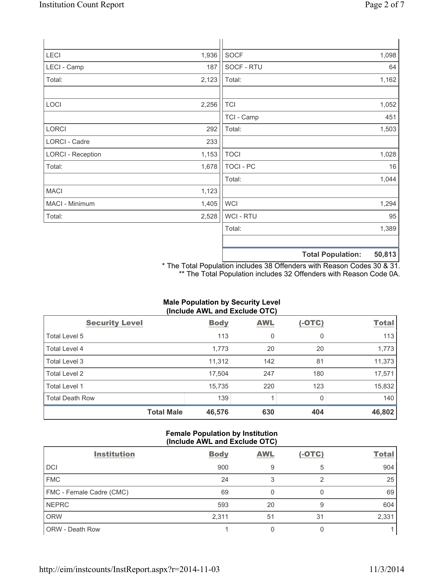| LECI                     | 1,936 | SOCF             | 1,098                       |
|--------------------------|-------|------------------|-----------------------------|
| LECI - Camp              | 187   | SOCF - RTU       | 64                          |
| Total:                   | 2,123 | Total:           | 1,162                       |
| LOCI                     | 2,256 | <b>TCI</b>       | 1,052                       |
|                          |       | TCI - Camp       | 451                         |
| LORCI                    | 292   | Total:           | 1,503                       |
| LORCI - Cadre            | 233   |                  |                             |
| <b>LORCI - Reception</b> | 1,153 | <b>TOCI</b>      | 1,028                       |
| Total:                   | 1,678 | <b>TOCI - PC</b> | 16                          |
|                          |       | Total:           | 1,044                       |
| <b>MACI</b>              | 1,123 |                  |                             |
| MACI - Minimum           | 1,405 | <b>WCI</b>       | 1,294                       |
| Total:                   | 2,528 | WCI - RTU        | 95                          |
|                          |       | Total:           | 1,389                       |
|                          |       |                  |                             |
|                          |       |                  | EN 049<br>Total Danulations |

**Total Population: 50,813**

\* The Total Population includes 38 Offenders with Reason Codes 30 & 31. \*\* The Total Population includes 32 Offenders with Reason Code 0A.

# **Male Population by Security Level (Include AWL and Exclude OTC)**

| <b>Security Level</b>  | <b>Body</b> | <b>AWL</b> | $(-OTC)$ | <b>Total</b> |
|------------------------|-------------|------------|----------|--------------|
| Total Level 5          | 113         | 0          | 0        | 113          |
| Total Level 4          | 1,773       | 20         | 20       | 1,773        |
| Total Level 3          | 11,312      | 142        | 81       | 11,373       |
| Total Level 2          | 17,504      | 247        | 180      | 17,571       |
| <b>Total Level 1</b>   | 15,735      | 220        | 123      | 15,832       |
| <b>Total Death Row</b> | 139         |            | 0        | 140          |
| <b>Total Male</b>      | 46,576      | 630        | 404      | 46,802       |

## **Female Population by Institution (Include AWL and Exclude OTC)**

| <b>Institution</b>       | <b>Body</b> | <b>AWL</b> | $(-OTC)$ | <b>Total</b> |
|--------------------------|-------------|------------|----------|--------------|
| <b>DCI</b>               | 900         | 9          | 5        | 904          |
| <b>FMC</b>               | 24          | 3          |          | 25           |
| FMC - Female Cadre (CMC) | 69          |            |          | 69           |
| <b>NEPRC</b>             | 593         | 20         | 9        | 604          |
| <b>ORW</b>               | 2,311       | 51         | 31       | 2,331        |
| <b>ORW - Death Row</b>   |             |            |          |              |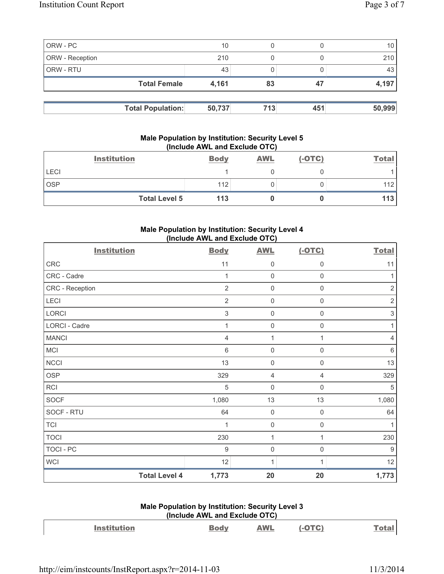|                 | <b>Total Population:</b> | 50,737 | 713 | 451 | 50,999 |
|-----------------|--------------------------|--------|-----|-----|--------|
|                 |                          |        |     |     |        |
|                 | <b>Total Female</b>      | 4,161  | 83  | 47  | 4,197  |
| ORW - RTU       |                          | 43     |     |     | 43     |
| ORW - Reception |                          | 210    |     |     | 210    |
| ORW - PC        |                          | 10     |     |     | 10     |

## **Male Population by Institution: Security Level 5 (Include AWL and Exclude OTC)**

|             | <b>Institution</b>   | <b>Body</b> | <b>AWL</b> | $(-OTC)$ | <b>Total</b> |
|-------------|----------------------|-------------|------------|----------|--------------|
| <b>LECI</b> |                      |             |            |          |              |
| <b>OSP</b>  |                      | 112         |            |          | 112          |
|             | <b>Total Level 5</b> | 113         |            |          | 113          |

# **Male Population by Institution: Security Level 4 (Include AWL and Exclude OTC)**

| <b>Institution</b>   | <b>Body</b>    | <b>AWL</b>          | $(-OTC)$            | <b>Total</b>   |
|----------------------|----------------|---------------------|---------------------|----------------|
| CRC                  | 11             | $\mathsf{0}$        | 0                   | 11             |
| CRC - Cadre          | 1              | $\mathbf 0$         | $\mathbf 0$         | 1              |
| CRC - Reception      | $\overline{2}$ | $\mathbf 0$         | $\mathsf 0$         | $\overline{2}$ |
| LECI                 | $\overline{2}$ | $\mathsf{O}\xspace$ | $\mathsf{O}\xspace$ | $\sqrt{2}$     |
| LORCI                | $\,$ 3 $\,$    | $\mathbf 0$         | $\mathsf{O}\xspace$ | $\,$ 3 $\,$    |
| LORCI - Cadre        | 1              | $\mathbf 0$         | 0                   | $\mathbf{1}$   |
| <b>MANCI</b>         | 4              | 1                   | 1                   | 4              |
| <b>MCI</b>           | 6              | $\mathbf 0$         | 0                   | $\,6\,$        |
| <b>NCCI</b>          | 13             | $\mathbf 0$         | 0                   | 13             |
| <b>OSP</b>           | 329            | 4                   | 4                   | 329            |
| RCI                  | 5              | $\mathbf 0$         | $\mathbf 0$         | 5              |
| <b>SOCF</b>          | 1,080          | 13                  | 13                  | 1,080          |
| SOCF - RTU           | 64             | $\mathbf 0$         | $\mathsf 0$         | 64             |
| <b>TCI</b>           | 1              | $\mathbf 0$         | $\mathbf 0$         | 1              |
| <b>TOCI</b>          | 230            | 1                   | 1                   | 230            |
| TOCI - PC            | $9\,$          | $\mathbf 0$         | $\mathsf 0$         | $9\,$          |
| <b>WCI</b>           | 12             | 1                   | 1                   | 12             |
| <b>Total Level 4</b> | 1,773          | 20                  | 20                  | 1,773          |

## **Male Population by Institution: Security Level 3 (Include AWL and Exclude OTC)**

| <b>Institution</b> | AWL | $-OTC$ |  |
|--------------------|-----|--------|--|
|                    |     |        |  |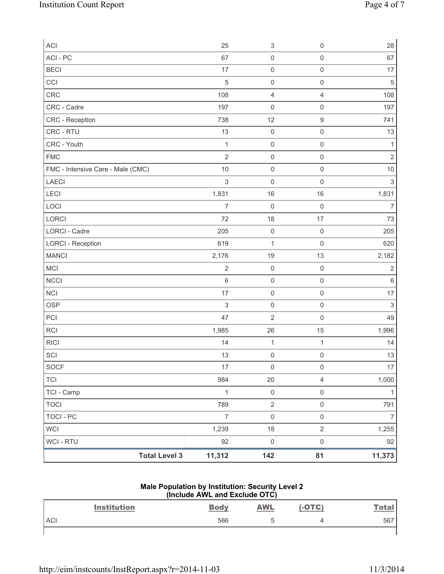| ACI                               | 25             | $\ensuremath{\mathsf{3}}$ | $\mathsf{O}\xspace$     | 28             |
|-----------------------------------|----------------|---------------------------|-------------------------|----------------|
| ACI - PC                          | 67             | $\mathsf 0$               | $\mathsf{O}\xspace$     | 67             |
| <b>BECI</b>                       | 17             | $\mathsf 0$               | $\mathsf{O}\xspace$     | 17             |
| CCI                               | 5              | $\mathsf{O}\xspace$       | $\mathsf{O}\xspace$     | $\sqrt{5}$     |
| CRC                               | 108            | 4                         | $\overline{4}$          | 108            |
| CRC - Cadre                       | 197            | $\mathsf{O}\xspace$       | $\mathsf{O}\xspace$     | 197            |
| CRC - Reception                   | 738            | 12                        | $\mathsf g$             | 741            |
| CRC - RTU                         | 13             | $\mathsf 0$               | $\mathsf{O}\xspace$     | 13             |
| CRC - Youth                       | $\mathbf{1}$   | $\mathsf{O}\xspace$       | $\mathsf{O}\xspace$     | 1              |
| <b>FMC</b>                        | $\overline{2}$ | $\mathsf 0$               | $\mathsf{O}\xspace$     | $\overline{2}$ |
| FMC - Intensive Care - Male (CMC) | 10             | $\mathsf 0$               | $\mathsf{O}\xspace$     | $10$           |
| LAECI                             | 3              | 0                         | $\mathsf{O}\xspace$     | $\sqrt{3}$     |
| LECI                              | 1,831          | 16                        | 16                      | 1,831          |
| LOCI                              | $\overline{7}$ | $\mathsf{O}\xspace$       | $\mathsf{O}\xspace$     | $\overline{7}$ |
| LORCI                             | 72             | 18                        | 17                      | 73             |
| <b>LORCI - Cadre</b>              | 205            | $\mathbf 0$               | $\mathbf 0$             | 205            |
| <b>LORCI - Reception</b>          | 619            | $\mathbf{1}$              | $\mathbf 0$             | 620            |
| <b>MANCI</b>                      | 2,176          | 19                        | 13                      | 2,182          |
| MCI                               | $\sqrt{2}$     | $\mathsf 0$               | $\mathsf 0$             | $\sqrt{2}$     |
| <b>NCCI</b>                       | 6              | $\mathsf 0$               | $\mathsf{O}\xspace$     | $\,6\,$        |
| <b>NCI</b>                        | 17             | $\mathsf{O}\xspace$       | $\mathsf{O}\xspace$     | 17             |
| <b>OSP</b>                        | $\sqrt{3}$     | $\mathsf{O}\xspace$       | $\mathsf{O}\xspace$     | $\mathsf 3$    |
| PCI                               | 47             | $\overline{2}$            | $\mathsf{O}\xspace$     | 49             |
| <b>RCI</b>                        | 1,985          | 26                        | 15                      | 1,996          |
| <b>RICI</b>                       | 14             | $\mathbf 1$               | $\mathbf{1}$            | 14             |
| SCI                               | 13             | $\mathsf{O}\xspace$       | $\mathsf{O}\xspace$     | 13             |
| SOCF                              | $17$           | $\mathsf 0$               | $\mathsf 0$             | $17\,$         |
| <b>TCI</b>                        | 984            | 20                        | $\overline{\mathbf{4}}$ | 1,000          |
| TCI - Camp                        | $\mathbf{1}$   | $\mathbf 0$               | $\mathsf{O}\xspace$     | 1              |
| <b>TOCI</b>                       | 789            | $\sqrt{2}$                | $\mathsf{O}\xspace$     | 791            |
| <b>TOCI - PC</b>                  | $\overline{7}$ | $\mathsf{O}\xspace$       | $\mathsf{O}\xspace$     | $\overline{7}$ |
| <b>WCI</b>                        | 1,239          | 18                        | $\overline{2}$          | 1,255          |
| WCI - RTU                         | 92             | $\mathbf 0$               | $\mathsf 0$             | 92             |
| <b>Total Level 3</b>              | 11,312         | 142                       | 81                      | 11,373         |

## **Male Population by Institution: Security Level 2 (Include AWL and Exclude OTC)**

|            | <b>Institution</b> | <b>Body</b> | <b>AWL</b> | $(-OTC)$ | <u>Total</u> |
|------------|--------------------|-------------|------------|----------|--------------|
| <b>ACI</b> |                    | 566         | ħ<br>◡     |          | 567          |
|            |                    |             |            |          |              |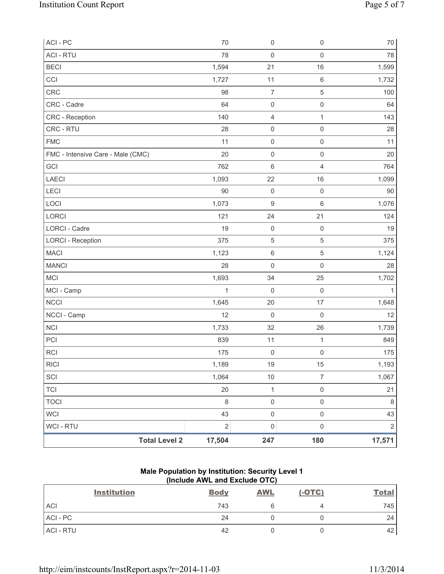| ACI - PC                          | 70           | $\mathsf{O}\xspace$ | $\mathsf{O}\xspace$ | $70\,$     |
|-----------------------------------|--------------|---------------------|---------------------|------------|
| <b>ACI - RTU</b>                  | 78           | $\mathbf 0$         | $\mathsf{O}\xspace$ | 78         |
| <b>BECI</b>                       | 1,594        | 21                  | 16                  | 1,599      |
| CCI                               | 1,727        | 11                  | $\,6\,$             | 1,732      |
| CRC                               | 98           | $\overline{7}$      | $\sqrt{5}$          | 100        |
| CRC - Cadre                       | 64           | $\mathsf 0$         | $\mathsf 0$         | 64         |
| CRC - Reception                   | 140          | 4                   | $\mathbf{1}$        | 143        |
| CRC - RTU                         | 28           | $\mathsf{O}\xspace$ | $\mathsf{O}\xspace$ | 28         |
| <b>FMC</b>                        | 11           | $\mathsf{O}\xspace$ | $\mathsf 0$         | 11         |
| FMC - Intensive Care - Male (CMC) | 20           | $\mathsf{O}\xspace$ | $\mathsf{O}\xspace$ | 20         |
| GCI                               | 762          | $6\phantom{1}6$     | $\overline{4}$      | 764        |
| LAECI                             | 1,093        | 22                  | 16                  | 1,099      |
| LECI                              | 90           | $\mathsf{O}\xspace$ | $\mathsf{O}\xspace$ | 90         |
| LOCI                              | 1,073        | $\boldsymbol{9}$    | $\,6\,$             | 1,076      |
| LORCI                             | 121          | 24                  | 21                  | 124        |
| <b>LORCI - Cadre</b>              | 19           | $\mathsf 0$         | $\mathsf{O}\xspace$ | 19         |
| <b>LORCI - Reception</b>          | 375          | 5                   | $\sqrt{5}$          | 375        |
| <b>MACI</b>                       | 1,123        | $\,6$               | $\sqrt{5}$          | 1,124      |
| <b>MANCI</b>                      | 28           | $\mathbf 0$         | $\mathsf{O}\xspace$ | 28         |
| MCI                               | 1,693        | 34                  | 25                  | 1,702      |
| MCI - Camp                        | $\mathbf{1}$ | $\mathbf 0$         | $\mathsf{O}\xspace$ | 1          |
| <b>NCCI</b>                       | 1,645        | 20                  | 17                  | 1,648      |
| NCCI - Camp                       | 12           | $\mathbf 0$         | $\mathsf{O}\xspace$ | 12         |
| NCI                               | 1,733        | 32                  | 26                  | 1,739      |
| PCI                               | 839          | 11                  | $\mathbf{1}$        | 849        |
| <b>RCI</b>                        | 175          | $\mathsf 0$         | $\mathsf{O}\xspace$ | 175        |
| R C                               | 1,189        | 19                  | 15                  | 1,193      |
| SCI                               | 1,064        | $10$                | $\overline{7}$      | 1,067      |
| <b>TCI</b>                        | 20           | $\mathbf 1$         | $\mathsf 0$         | 21         |
| <b>TOCI</b>                       | 8            | $\mathsf{O}\xspace$ | $\mathsf{O}\xspace$ | 8          |
| <b>WCI</b>                        | 43           | $\mathsf{O}\xspace$ | $\mathsf{O}\xspace$ | 43         |
| WCI - RTU                         | $\sqrt{2}$   | $\mathsf{O}\xspace$ | $\mathsf{O}\xspace$ | $\sqrt{2}$ |
| <b>Total Level 2</b>              | 17,504       | 247                 | 180                 | 17,571     |

## **Male Population by Institution: Security Level 1 (Include AWL and Exclude OTC)**

| <b>Institution</b> | <b>Body</b> | <b>AWL</b> | $(-OTC)$ | <b>Total</b> |
|--------------------|-------------|------------|----------|--------------|
| <b>ACI</b>         | 743         |            |          | 745          |
| $ACI - PC$         | 24          |            |          | 24           |
| ACI - RTU          | 42          |            |          | 42           |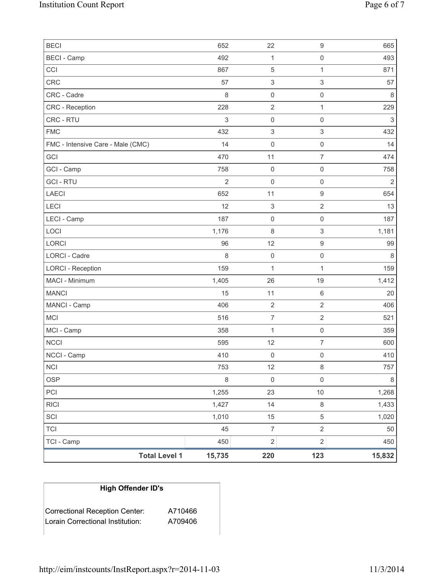| <b>BECI</b>                       | 652            | 22                        | $\mathsf g$               | 665            |
|-----------------------------------|----------------|---------------------------|---------------------------|----------------|
| <b>BECI</b> - Camp                | 492            | 1                         | $\mathsf 0$               | 493            |
| CCI                               | 867            | $\mathbf 5$               | $\mathbf{1}$              | 871            |
| <b>CRC</b>                        | 57             | $\ensuremath{\mathsf{3}}$ | $\ensuremath{\mathsf{3}}$ | 57             |
| CRC - Cadre                       | 8              | $\mathsf{O}\xspace$       | $\mathsf 0$               | 8              |
| <b>CRC</b> - Reception            | 228            | $\overline{2}$            | $\mathbf{1}$              | 229            |
| CRC - RTU                         | $\mathfrak{S}$ | 0                         | $\mathsf 0$               | 3              |
| <b>FMC</b>                        | 432            | $\ensuremath{\mathsf{3}}$ | $\ensuremath{\mathsf{3}}$ | 432            |
| FMC - Intensive Care - Male (CMC) | 14             | $\mathsf{O}\xspace$       | $\mathbf 0$               | 14             |
| GCI                               | 470            | 11                        | $\overline{7}$            | 474            |
| GCI - Camp                        | 758            | $\mathsf{O}\xspace$       | $\mathsf 0$               | 758            |
| <b>GCI-RTU</b>                    | $\overline{2}$ | $\mathsf{O}\xspace$       | $\mathsf 0$               | $\overline{2}$ |
| <b>LAECI</b>                      | 652            | 11                        | $\mathsf g$               | 654            |
| LECI                              | 12             | $\ensuremath{\mathsf{3}}$ | $\overline{2}$            | 13             |
| LECI - Camp                       | 187            | $\mathsf{O}\xspace$       | $\mathsf 0$               | 187            |
| LOCI                              | 1,176          | 8                         | $\ensuremath{\mathsf{3}}$ | 1,181          |
| LORCI                             | 96             | 12                        | $\mathsf g$               | 99             |
| LORCI - Cadre                     | 8              | $\mathsf{O}\xspace$       | $\mathsf 0$               | 8              |
| <b>LORCI - Reception</b>          | 159            | $\mathbf{1}$              | $\mathbf{1}$              | 159            |
| MACI - Minimum                    | 1,405          | 26                        | 19                        | 1,412          |
| <b>MANCI</b>                      | 15             | 11                        | $\,6\,$                   | 20             |
| MANCI - Camp                      | 406            | $\sqrt{2}$                | $\sqrt{2}$                | 406            |
| <b>MCI</b>                        | 516            | $\overline{7}$            | $\sqrt{2}$                | 521            |
| MCI - Camp                        | 358            | $\mathbf{1}$              | $\mathsf 0$               | 359            |
| <b>NCCI</b>                       | 595            | 12                        | $\overline{7}$            | 600            |
| NCCI - Camp                       | 410            | 0                         | $\mathsf{O}\xspace$       | 410            |
| <b>NCI</b>                        | 753            | 12                        | $\,8\,$                   | 757            |
| <b>OSP</b>                        | $\,8\,$        | $\mathsf{O}\xspace$       | $\mathsf{O}\xspace$       | $\,8\,$        |
| PCI                               | 1,255          | 23                        | $10$                      | 1,268          |
| <b>RICI</b>                       | 1,427          | 14                        | $\,8\,$                   | 1,433          |
| SCI                               | 1,010          | 15                        | $\,$ 5 $\,$               | 1,020          |
| <b>TCI</b>                        | 45             | $\overline{7}$            | $\sqrt{2}$                | 50             |
| TCI - Camp                        | 450            | $\overline{2}$            | $\overline{2}$            | 450            |
| <b>Total Level 1</b>              | 15,735         | 220                       | 123                       | 15,832         |

# **High Offender ID's**

| <b>Correctional Reception Center:</b> | A710466 |
|---------------------------------------|---------|
| Lorain Correctional Institution:      | A709406 |